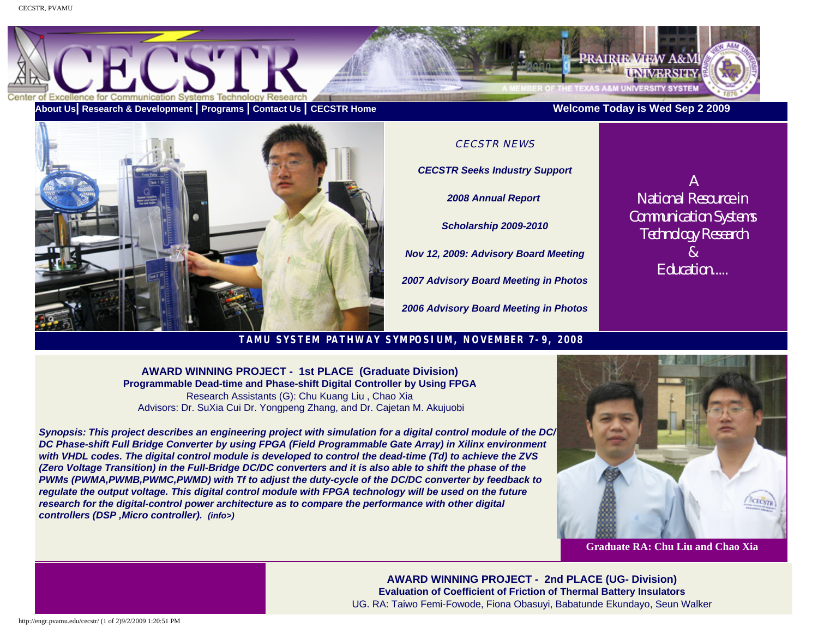

**[About Us](http://engr.pvamu.edu/cecstr/about_us.asp)| [Research & Development](http://engr.pvamu.edu/cecstr/rd.asp) | [Programs](http://engr.pvamu.edu/cecstr/programs.asp) | [Contact Us](http://engr.pvamu.edu/cecstr/contact_us.asp) | [CECSTR Home](http://www.pvamu.edu/cecstr) Welcome Today is Wed Sep 2 2009** 



CECSTR NEWS *[CECSTR Seeks Industry Support](http://engr.pvamu.edu/cecstr/document/pg1.PDF) [2008 Annual Report](http://engr.pvamu.edu/cecstr/document/ARES121808.pdf)  [Scholarship 2009-2010](http://engr.pvamu.edu/cecstr/scholarship.asp) Nov 12, 2009: Advisory Board Meeting 2007 [Advisory Board Meeting in Photos](http://engr.pvamu.edu/cecstr/CAB_2007/cab2007.asp) 2006 [Advisory Board Meeting in Photos](http://engr.pvamu.edu/cecstr/cab.html)*

*A National Resource in Communication Systems Technology Research & Education.....*

# **TAMU SYSTEM PATHWAY SYMPOSIUM, NOVEMBER 7-9, 2008**

**AWARD WINNING PROJECT - 1st PLACE (Graduate Division) Programmable Dead-time and Phase-shift Digital Controller by Using FPGA**  Research Assistants (G): Chu Kuang Liu , Chao Xia Advisors: Dr. SuXia Cui Dr. Yongpeng Zhang, and Dr. Cajetan M. Akujuobi

*Synopsis: This project describes an engineering project with simulation for a digital control module of the DC/ DC Phase-shift Full Bridge Converter by using FPGA (Field Programmable Gate Array) in Xilinx environment with VHDL codes. The digital control module is developed to control the dead-time (Td) to achieve the ZVS (Zero Voltage Transition) in the Full-Bridge DC/DC converters and it is also able to shift the phase of the PWMs (PWMA,PWMB,PWMC,PWMD) with Tf to adjust the duty-cycle of the DC/DC converter by feedback to regulate the output voltage. This digital control module with FPGA technology will be used on the future*  research for the digital-control power architecture as to compare the performance with other digital *controllers (DSP ,Micro controller). (info>)*



### **Graduate RA: Chu Liu and Chao Xia**

**AWARD WINNING PROJECT - 2nd PLACE (UG- Division) Evaluation of Coefficient of Friction of Thermal Battery Insulators**  UG. RA: Taiwo Femi-Fowode, Fiona Obasuyi, Babatunde Ekundayo, Seun Walker

http://engr.pvamu.edu/cecstr/ (1 of 2)9/2/2009 1:20:51 PM